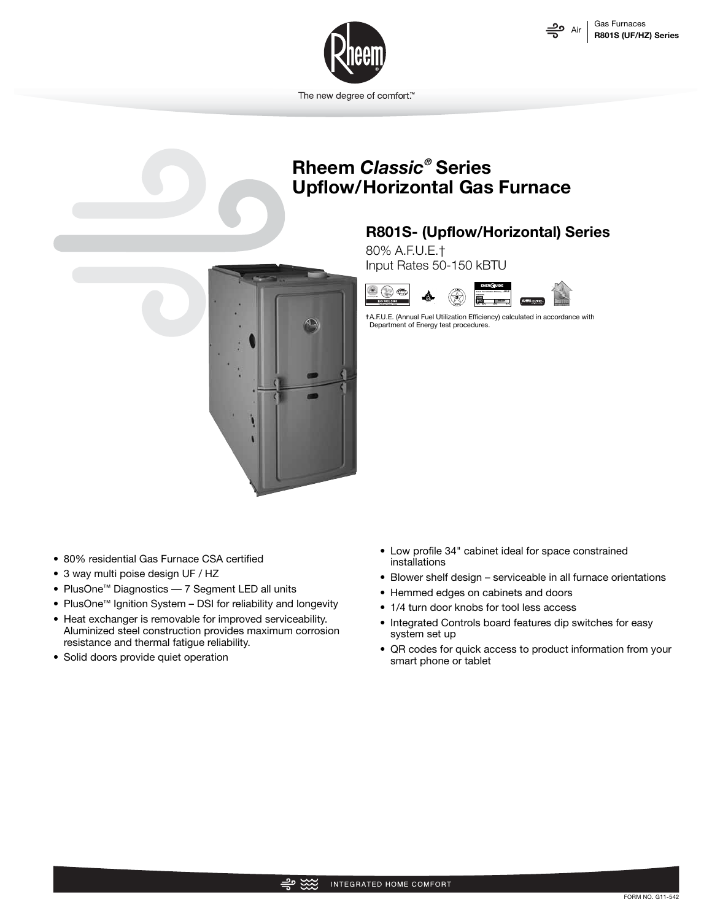

The new degree of comfort.™

# **Rheem** *Classic®* **Series Upflow/Horizontal Gas Furnace**

# **R801S- (Upflow/Horizontal) Series**

80% A.F.U.E.† Input Rates 50-150 kBTU



✝A.F.U.E. (Annual Fuel Utilization Efficiency) calculated in accordance with Department of Energy test procedures.

- $\bigcap$
- 80% residential Gas Furnace CSA certified
- 3 way multi poise design UF / HZ
- PlusOne™ Diagnostics 7 Segment LED all units
- PlusOne™ Ignition System DSI for reliability and longevity
- Heat exchanger is removable for improved serviceability. Aluminized steel construction provides maximum corrosion resistance and thermal fatigue reliability.
- Solid doors provide quiet operation
- Low profile 34" cabinet ideal for space constrained installations
- Blower shelf design serviceable in all furnace orientations
- Hemmed edges on cabinets and doors
- 1/4 turn door knobs for tool less access
- Integrated Controls board features dip switches for easy system set up
- QR codes for quick access to product information from your smart phone or tablet

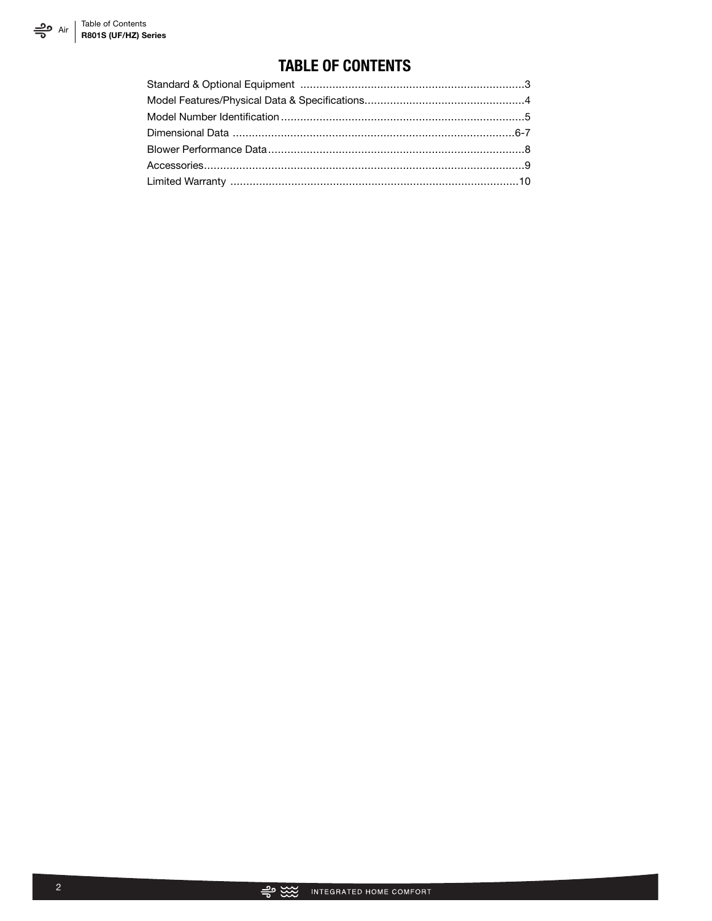## **TABLE OF CONTENTS**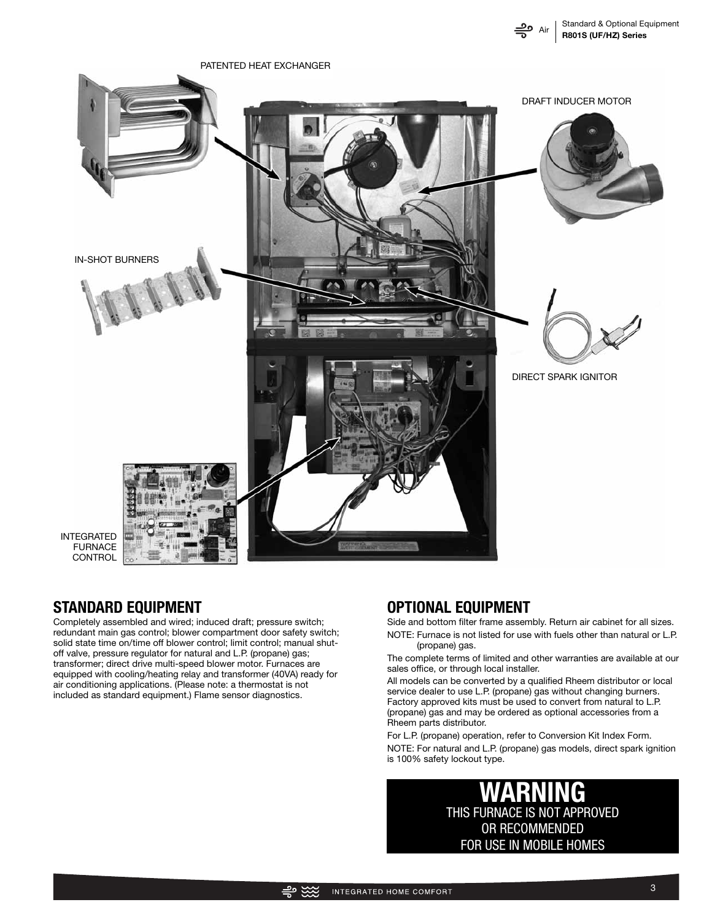



## **STANDARD EQUIPMENT**

Completely assembled and wired; induced draft; pressure switch; redundant main gas control; blower compartment door safety switch; solid state time on/time off blower control; limit control; manual shutoff valve, pressure regulator for natural and L.P. (propane) gas; transformer; direct drive multi-speed blower motor. Furnaces are equipped with cooling/heating relay and transformer (40VA) ready for air conditioning applications. (Please note: a thermostat is not included as standard equipment.) Flame sensor diagnostics.

## **OPTIONAL EQUIPMENT**

Side and bottom filter frame assembly. Return air cabinet for all sizes.

NOTE: Furnace is not listed for use with fuels other than natural or L.P. (propane) gas.

The complete terms of limited and other warranties are available at our sales office, or through local installer.

All models can be converted by a qualified Rheem distributor or local service dealer to use L.P. (propane) gas without changing burners. Factory approved kits must be used to convert from natural to L.P. (propane) gas and may be ordered as optional accessories from a Rheem parts distributor.

For L.P. (propane) operation, refer to Conversion Kit Index Form.

NOTE: For natural and L.P. (propane) gas models, direct spark ignition is 100% safety lockout type.

> **WARNING** THIS FURNACE IS NOT APPROVED OR RECOMMENDED FOR USE IN MOBILE HOMES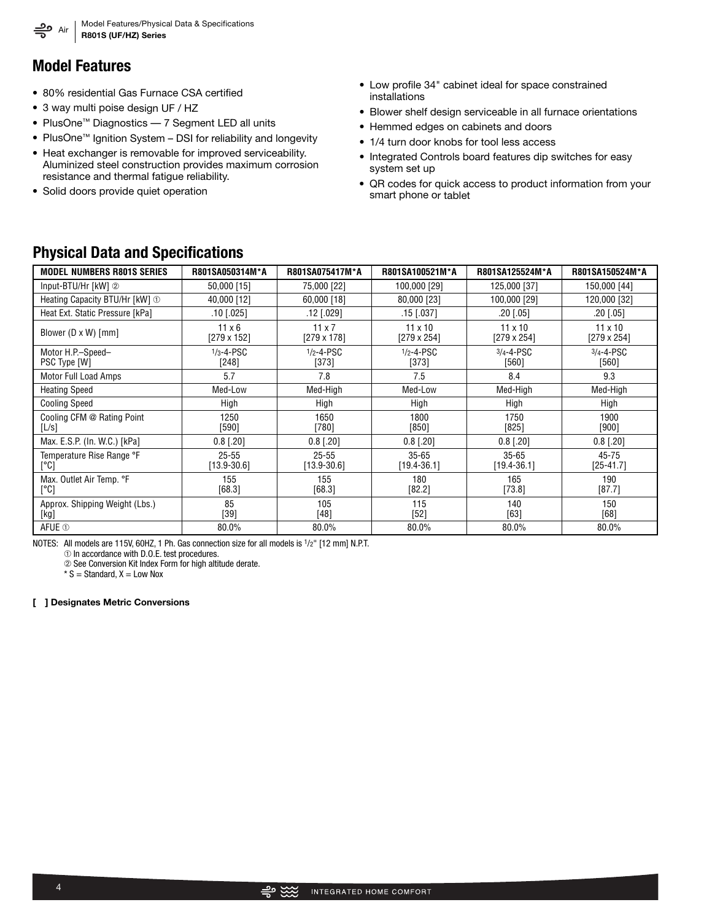

# **Model Features**

- 80% residential Gas Furnace CSA certified
- 3 way multi poise design UF / HZ
- PlusOne™ Diagnostics 7 Segment LED all units
- PlusOne™ Ignition System DSI for reliability and longevity
- Heat exchanger is removable for improved serviceability. Aluminized steel construction provides maximum corrosion resistance and thermal fatigue reliability.
- Solid doors provide quiet operation
- Low profile 34" cabinet ideal for space constrained installations
- Blower shelf design serviceable in all furnace orientations
- Hemmed edges on cabinets and doors
- 1/4 turn door knobs for tool less access
- Integrated Controls board features dip switches for easy system set up
- QR codes for quick access to product information from your smart phone or tablet

## **Physical Data and Specifications**

| <b>MODEL NUMBERS R801S SERIES</b>      | R801SA050314M*A                     | R801SA075417M*A                     | R801SA100521M*A               | R801SA125524M*A                      | R801SA150524M*A               |
|----------------------------------------|-------------------------------------|-------------------------------------|-------------------------------|--------------------------------------|-------------------------------|
| Input-BTU/Hr [kW] ②                    | 50,000 [15]                         | 75,000 [22]                         | 100,000 [29]                  | 125,000 [37]                         | 150,000 [44]                  |
| Heating Capacity BTU/Hr [kW] ①         | 40,000 [12]                         | 60,000 [18]                         | 80,000 [23]                   | 100,000 [29]                         | 120,000 [32]                  |
| Heat Ext. Static Pressure [kPa]        | $.10$ [.025]                        | $.12$ [.029]                        | $.15$ [.037]                  | $.20$ $[.05]$                        | $.20$ [.05]                   |
| Blower ( $D \times W$ ) [mm]           | $11 \times 6$<br>$[279 \times 152]$ | $11 \times 7$<br>$[279 \times 178]$ | $11 \times 10$<br>[279 x 254] | $11 \times 10$<br>$[279 \times 254]$ | $11 \times 10$<br>[279 x 254] |
| Motor H.P.-Speed-<br>PSC Type [W]      | $1/3 - 4 - PSC$<br>[248]            | $1/2 - 4 - PSC$<br>[373]            | $1/2 - 4 - PSC$<br>[373]      | $3/4 - 4 - PSC$<br>[560]             | $3/4 - 4 - PSC$<br>$[560]$    |
| Motor Full Load Amps                   | 5.7                                 | 7.8                                 | 7.5                           | 8.4                                  | 9.3                           |
| <b>Heating Speed</b>                   | Med-Low                             | Med-High                            | Med-Low                       | Med-High                             | Med-High                      |
| <b>Cooling Speed</b>                   | High                                | High                                | High                          | High                                 | High                          |
| Cooling CFM @ Rating Point<br>[L/s]    | 1250<br>[590]                       | 1650<br>[780]                       | 1800<br>$[850]$               | 1750<br>$[825]$                      | 1900<br>[900]                 |
| Max. E.S.P. (In. W.C.) [kPa]           | $0.8$ [.20]                         | $0.8$ [.20]                         | $0.8$ [.20]                   | $0.8$ [.20]                          | $0.8$ [.20]                   |
| Temperature Rise Range °F<br>[°C]      | $25 - 55$<br>$[13.9 - 30.6]$        | $25 - 55$<br>$[13.9 - 30.6]$        | $35 - 65$<br>$[19.4 - 36.1]$  | $35 - 65$<br>$[19.4 - 36.1]$         | 45-75<br>$[25 - 41.7]$        |
| Max. Outlet Air Temp. °F<br>[°C]       | 155<br>[68.3]                       | 155<br>[68.3]                       | 180<br>[82.2]                 | 165<br>[73.8]                        | 190<br>[87.7]                 |
| Approx. Shipping Weight (Lbs.)<br>[kg] | 85<br>[39]                          | 105<br>[48]                         | 115<br>$[52]$                 | 140<br>[63]                          | 150<br>[68]                   |
| AFUE <sub>1</sub>                      | 80.0%                               | 80.0%                               | 80.0%                         | 80.0%                                | 80.0%                         |

NOTES: All models are 115V, 60HZ, 1 Ph. Gas connection size for all models is 1/2" [12 mm] N.P.T.

➀ In accordance with D.O.E. test procedures.

➁ See Conversion Kit Index Form for high altitude derate.

 $* S =$  Standard,  $X =$  Low Nox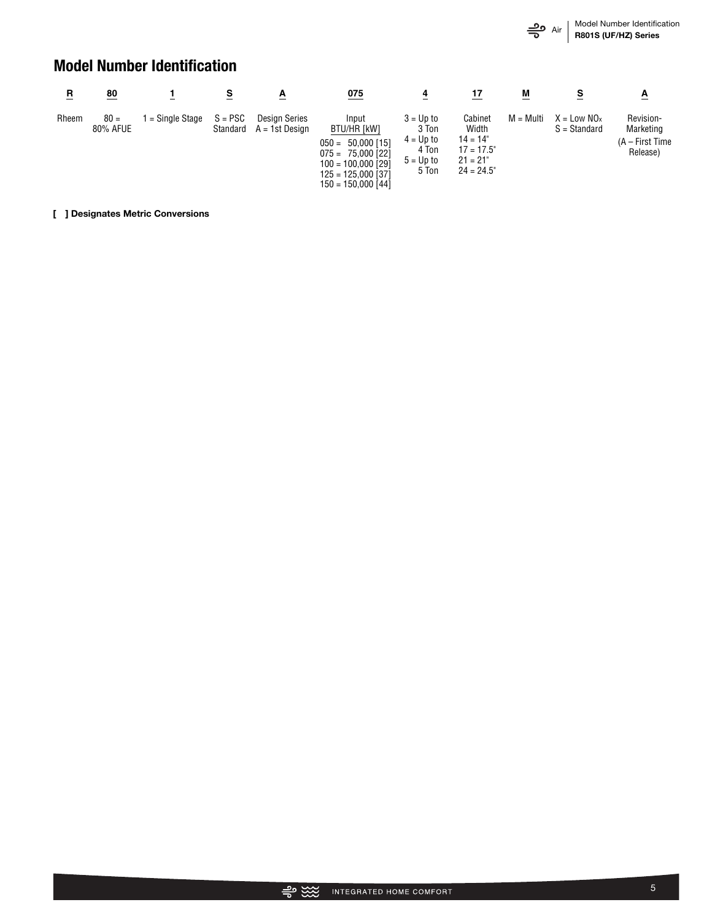# **Model Number Identification**

| R     | $\frac{80}{1}$     |                  | s         | ≜                                                 | 075                                                                                                                                        | 4                                                                    | 17                                                                            | Μ           | s                               | $\overline{A}$                                          |
|-------|--------------------|------------------|-----------|---------------------------------------------------|--------------------------------------------------------------------------------------------------------------------------------------------|----------------------------------------------------------------------|-------------------------------------------------------------------------------|-------------|---------------------------------|---------------------------------------------------------|
| Rheem | $80 =$<br>80% AFUE | $=$ Single Stage | $S = PSC$ | <b>Design Series</b><br>Standard $A = 1st Design$ | Input<br>BTU/HR [kW]<br>$050 = 50,000$ [15]<br>$075 = 75,000$ [22]<br>$100 = 100,000$ [29]<br>$125 = 125,000$ [37]<br>$150 = 150,000$ [44] | $3 = Up to$<br>3 Ton<br>$4 = Up to$<br>4 Ton<br>$5 = Up to$<br>5 Ton | Cabinet<br>Width<br>$14 = 14"$<br>$17 = 17.5$ "<br>$21 = 21"$<br>$24 = 24.5"$ | $M = Multi$ | $X = Low NOx$<br>$S = Standard$ | Revision-<br>Marketing<br>$(A - First Time$<br>Release) |

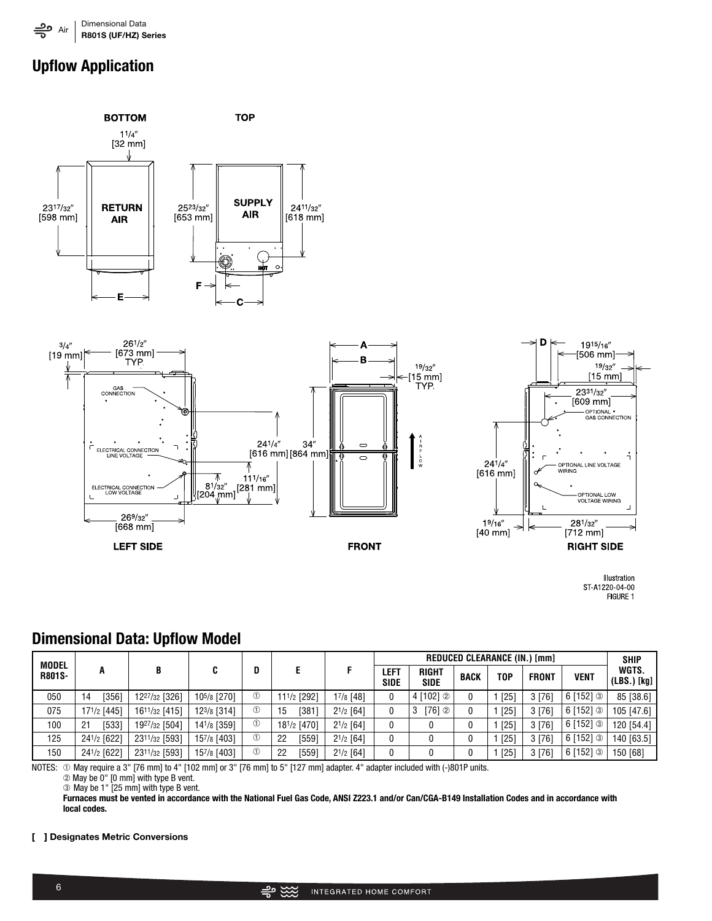

# **Upflow Application**





**Illustration** ST-A1220-04-00 FIGURE 1

### **Dimensional Data: Upflow Model**

| <b>MODEL</b> |             |               |             |               |             | <b>REDUCED CLEARANCE (IN.) [mm]</b> |                            |                        |             |      |              | <b>SHIP</b>              |                      |
|--------------|-------------|---------------|-------------|---------------|-------------|-------------------------------------|----------------------------|------------------------|-------------|------|--------------|--------------------------|----------------------|
| R801S-       | A           | В             | r<br>u      |               |             |                                     | <b>LEFT</b><br><b>SIDE</b> | RIGHT<br><b>SIDE</b>   | <b>BACK</b> | TOP  | <b>FRONT</b> | <b>VENT</b>              | WGTS.<br>(LBS.) [kg] |
| 050          | [356]<br>14 | 1227/32 [326] | 105/8 [270] | ⊕             | 111/2 [292] | $17/8$ [48]                         | 0                          | 4 [102] $\circledcirc$ |             | [25] | 3[76]        | $6$ [152] $\circledcirc$ | 85 [38.6]            |
| 075          | 171/2 [445] | 1611/32 [415] | 123/8 [314] | $^{\circ}$    | [381<br>15  | $2^{1/2}$ [64]                      |                            | $[76]$ ②<br>3          |             | [25] | 3[76]        | 6 $[152]$ 3              | 105 [47.6]           |
| 100          | [533]<br>21 | 1927/32 [504] | 141/8 [359] | $^{\circ}$    | 181/2 [470] | $2^{1/2}$ [64]                      |                            |                        |             | [25] | 3[76]        | 6 $[152]$ 3              | 120 [54.4]           |
| 125          | 241/2 [622] | 2311/32 [593] | 157/8 [403] | $\circled{1}$ | [559]<br>22 | $2^{1/2}$ [64]                      |                            |                        |             | [25] | 3 [76]       | 6 $[152]$ 3              | 140 [63.5]           |
| 150          | 241/2 [622] | 2311/32 [593] | 157/8 [403] | $\circ$       | [559]<br>22 | $2^{1/2}$ [64]                      | 0                          |                        |             | [25] | 3[76]        | 6 $[152]$ 3              | 150 [68]             |

NOTES: ➀ May require a 3" [76 mm] to 4" [102 mm] or 3" [76 mm] to 5" [127 mm] adapter. 4" adapter included with (-)801P units.

➁ May be 0" [0 mm] with type B vent.

➂ May be 1" [25 mm] with type B vent.

**Furnaces must be vented in accordance with the National Fuel Gas Code, ANSI Z223.1 and/or Can/CGA-B149 Installation Codes and in accordance with local codes.**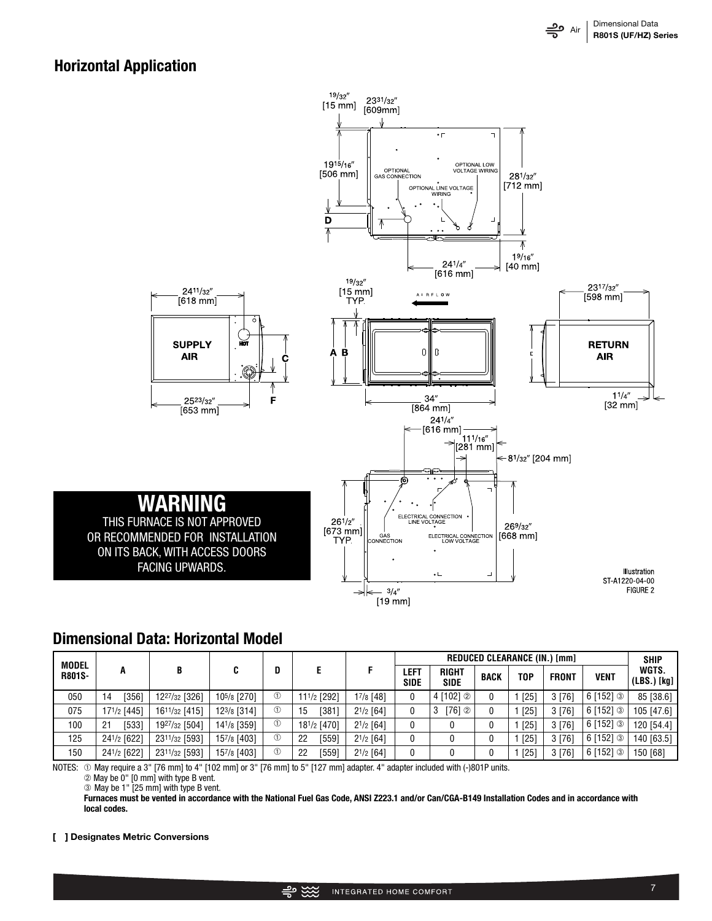## **Horizontal Application**



#### **Dimensional Data: Horizontal Model**

| <b>MODEL</b> |             |               |             |               |             |                |                            |                             |             | <b>REDUCED CLEARANCE (IN.) [mm]</b> |              |             | <b>SHIP</b>          |
|--------------|-------------|---------------|-------------|---------------|-------------|----------------|----------------------------|-----------------------------|-------------|-------------------------------------|--------------|-------------|----------------------|
| R801S-       | A           | B             | C           |               |             |                | <b>LEFT</b><br><b>SIDE</b> | <b>RIGHT</b><br><b>SIDE</b> | <b>BACK</b> | T <sub>0</sub> P                    | <b>FRONT</b> | <b>VENT</b> | WGTS.<br>(LBS.) [kg] |
| 050          | 13561<br>14 | 1227/32 [326] | 105/8 [270] | $^{\circ}$    | 111/2 [292] | 17/8 [48]      |                            | 4 [102] $\circledcirc$      | 0           | [25]                                | 3 [76]       | 6 [152] ③   | 85 [38.6]            |
| 075          | 171/2 [445] | 1611/32 [415] | 123/8 [314] | $^{\circ}$    | [381<br>15  | $2^{1/2}$ [64] |                            | $[76]$ ②                    |             | [25]                                | 3 [76]       | 6 $[152]$ 3 | 105 [47.6]           |
| 100          | [533]<br>21 | 1927/32 [504] | 141/8 [359] | $^{\circ}$    | 181/2 [470] | $2^{1/2}$ [64] |                            |                             | 0           | [25]                                | 3 [76]       | 6 $[152]$ 3 | 120 [54.4]           |
| 125          | 241/2 [622] | 2311/32 [593] | 157/8 [403] | $\circled{1}$ | [559]<br>22 | $2^{1/2}$ [64] |                            |                             | 0           | [25]                                | 3 [76]       | 6 $[152]$ 3 | 140 [63.5]           |
| 150          | 241/2 [622] | 2311/32 [593] | 157/8 [403] | $\circled{1}$ | [559]<br>22 | $2^{1/2}$ [64] |                            |                             | 0           | [25]                                | 3 [76]       | 6 $[152]$ 3 | 150 [68]             |

NOTES: ➀ May require a 3" [76 mm] to 4" [102 mm] or 3" [76 mm] to 5" [127 mm] adapter. 4" adapter included with (-)801P units.

➁ May be 0" [0 mm] with type B vent.

➂ May be 1" [25 mm] with type B vent.

**Furnaces must be vented in accordance with the National Fuel Gas Code, ANSI Z223.1 and/or Can/CGA-B149 Installation Codes and in accordance with local codes.**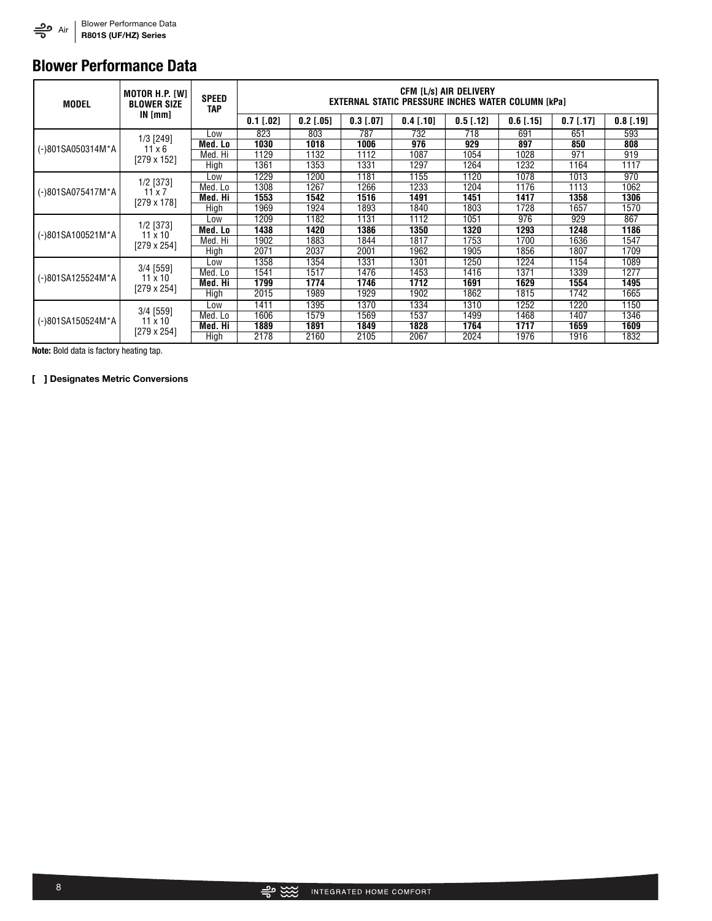# **Blower Performance Data**

| <b>MODEL</b>      | MOTOR H.P. [W]<br><b>BLOWER SIZE</b> | <b>SPEED</b><br>TAP | <b>CFM [L/s] AIR DELIVERY</b><br><b>EXTERNAL STATIC PRESSURE INCHES WATER COLUMN [kPa]</b> |             |             |             |             |             |             |             |
|-------------------|--------------------------------------|---------------------|--------------------------------------------------------------------------------------------|-------------|-------------|-------------|-------------|-------------|-------------|-------------|
|                   | IN [mm]                              |                     | $0.1$ [.02]                                                                                | $0.2$ [.05] | $0.3$ [.07] | $0.4$ [.10] | $0.5$ [.12] | $0.6$ [.15] | $0.7$ [.17] | $0.8$ [.19] |
|                   | 1/3 [249]                            | Low                 | 823                                                                                        | 803         | 787         | 732         | 718         | 691         | 651         | 593         |
| (-)801SA050314M*A | $11 \times 6$                        | Med. Lo             | 1030                                                                                       | 1018        | 1006        | 976         | 929         | 897         | 850         | 808         |
|                   | $[279 \times 152]$                   | Med. Hi             | 1129                                                                                       | 1132        | 1112        | 1087        | 1054        | 1028        | 971         | 919         |
|                   |                                      | High                | 1361                                                                                       | 1353        | 1331        | 1297        | 1264        | 1232        | 1164        | 1117        |
|                   | $1/2$ [373]                          | Low                 | 1229                                                                                       | 1200        | 1181        | 1155        | 1120        | 1078        | 1013        | 970         |
| (-)801SA075417M*A | $11 \times 7$                        | Med. Lo             | 1308                                                                                       | 1267        | 1266        | 1233        | 1204        | 1176        | 1113        | 1062        |
|                   | $[279 \times 178]$                   | Med. Hi             | 1553                                                                                       | 1542        | 1516        | 1491        | 1451        | 1417        | 1358        | 1306        |
|                   |                                      | High                | 1969                                                                                       | 1924        | 1893        | 1840        | 1803        | 1728        | 1657        | 1570        |
|                   | 1/2 [373]                            | Low                 | 1209                                                                                       | 1182        | 1131        | 1112        | 1051        | 976         | 929         | 867         |
| (-)801SA100521M*A | $11 \times 10$                       | Med. Lo             | 1438                                                                                       | 1420        | 1386        | 1350        | 1320        | 1293        | 1248        | 1186        |
|                   | $[279 \times 254]$                   | Med. Hi             | 1902                                                                                       | 1883        | 1844        | 1817        | 1753        | 1700        | 1636        | 1547        |
|                   |                                      | High                | 2071                                                                                       | 2037        | 2001        | 1962        | 1905        | 1856        | 1807        | 1709        |
|                   |                                      | Low                 | 1358                                                                                       | 1354        | 1331        | 1301        | 1250        | 1224        | 1154        | 1089        |
| (-)801SA125524M*A | 3/4 [559]<br>$11 \times 10$          | Med. Lo             | 1541                                                                                       | 1517        | 1476        | 1453        | 1416        | 1371        | 1339        | 1277        |
|                   | $[279 \times 254]$                   | Med. Hi             | 1799                                                                                       | 1774        | 1746        | 1712        | 1691        | 1629        | 1554        | 1495        |
|                   |                                      | High                | 2015                                                                                       | 1989        | 1929        | 1902        | 1862        | 1815        | 1742        | 1665        |
|                   |                                      | Low                 | 1411                                                                                       | 1395        | 1370        | 1334        | 1310        | 1252        | 1220        | 1150        |
| (-)801SA150524M*A | 3/4 [559]<br>$11 \times 10$          | Med. Lo             | 1606                                                                                       | 1579        | 1569        | 1537        | 1499        | 1468        | 1407        | 1346        |
|                   |                                      | Med. Hi             | 1889                                                                                       | 1891        | 1849        | 1828        | 1764        | 1717        | 1659        | 1609        |
|                   | $[279 \times 254]$                   | High                | 2178                                                                                       | 2160        | 2105        | 2067        | 2024        | 1976        | 1916        | 1832        |

**Note:** Bold data is factory heating tap.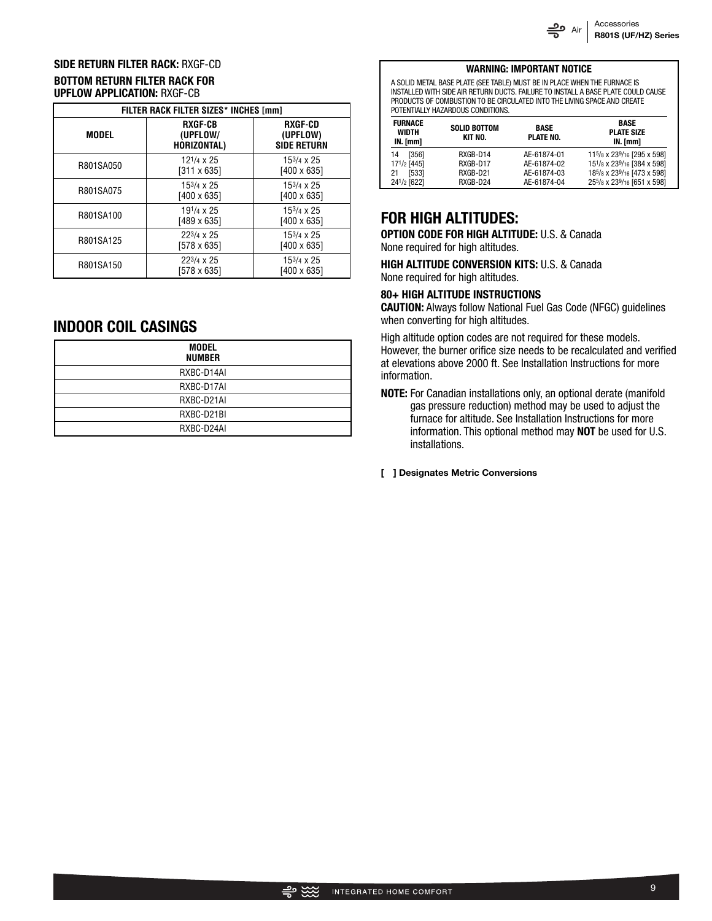

#### **SIDE RETURN FILTER RACK:** RXGF-CD **BOTTOM RETURN FILTER RACK FOR UPFLOW APPLICATION:** RXGF-CB

|              | <b>FILTER RACK FILTER SIZES* INCHES [mm]</b> |                                           |  |  |  |  |  |  |
|--------------|----------------------------------------------|-------------------------------------------|--|--|--|--|--|--|
| <b>MODEL</b> | <b>RXGF-CB</b><br>(UPFLOW/<br>HORIZONTAL)    | RXGF-CD<br>(UPFLOW)<br><b>SIDE RETURN</b> |  |  |  |  |  |  |
| R801SA050    | $12^{1/4}$ x 25<br>$[311 \times 635]$        | $15^{3}/4 \times 25$<br>[400 x 635]       |  |  |  |  |  |  |
| R801SA075    | $15^{3}/4 \times 25$<br>$[400 \times 635]$   | $15^{3}/4 \times 25$<br>[400 x 635]       |  |  |  |  |  |  |
| R801SA100    | 191/ <sub>4</sub> x 25<br>$[489 \times 635]$ | $15^{3/4} \times 25$<br>[400 x 635]       |  |  |  |  |  |  |
| R801SA125    | $22^{3/4} \times 25$<br>[578 x 635]          | $15^{3/4} \times 25$<br>[400 x 635]       |  |  |  |  |  |  |
| R801SA150    | $22^{3/4} \times 25$<br>[578 x 635]          | $15^{3}/4 \times 25$<br>1400 x 6351       |  |  |  |  |  |  |

## **INDOOR COIL CASINGS**

| <b>MODEL</b><br><b>NUMBER</b> |
|-------------------------------|
| RXBC-D14AI                    |
| RXBC-D17AI                    |
| RXBC-D21AI                    |
| RXBC-D21BI                    |
| RXBC-D24AI                    |

#### **WARNING: IMPORTANT NOTICE**

A SOLID METAL BASE PLATE (SEE TABLE) MUST BE IN PLACE WHEN THE FURNACE IS INSTALLED WITH SIDE AIR RETURN DUCTS. FAILURE TO INSTALL A BASE PLATE COULD CAUSE PRODUCTS OF COMBUSTION TO BE CIRCULATED INTO THE LIVING SPACE AND CREATE POTENTIALLY HAZARDOUS CONDITIONS.

| <b>FURNACE</b><br><b>WIDTH</b><br>IN. [mm] | <b>SOLID BOTTOM</b><br>KIT NO. | <b>BASE</b><br><b>PLATE NO.</b> | <b>BASE</b><br><b>PLATE SIZE</b><br>IN. [mm] |
|--------------------------------------------|--------------------------------|---------------------------------|----------------------------------------------|
| [356]<br>14                                | RXGB-D14                       | AE-61874-01                     | 115/8 x 239/16 [295 x 598]                   |
| 17 <sup>1</sup> / <sub>2</sub> [445]       | RXGB-D17                       | AE-61874-02                     | 151/8 x 239/16 [384 x 598]                   |
| [533]<br>21                                | RXGB-D21                       | AE-61874-03                     | 185/8 x 239/16 [473 x 598]                   |
| 241/2 [622]                                | RXGB-D24                       | AE-61874-04                     | 255/8 x 239/16 [651 x 598]                   |

## **FOR HIGH ALTITUDES:**

**OPTION CODE FOR HIGH ALTITUDE:** U.S. & Canada None required for high altitudes.

**HIGH ALTITUDE CONVERSION KITS:** U.S. & Canada None required for high altitudes.

#### **80+ HIGH ALTITUDE INSTRUCTIONS**

**CAUTION:** Always follow National Fuel Gas Code (NFGC) guidelines when converting for high altitudes.

High altitude option codes are not required for these models. However, the burner orifice size needs to be recalculated and verified at elevations above 2000 ft. See Installation Instructions for more information.

**NOTE:** For Canadian installations only, an optional derate (manifold gas pressure reduction) method may be used to adjust the furnace for altitude. See Installation Instructions for more information. This optional method may **NOT** be used for U.S. installations.

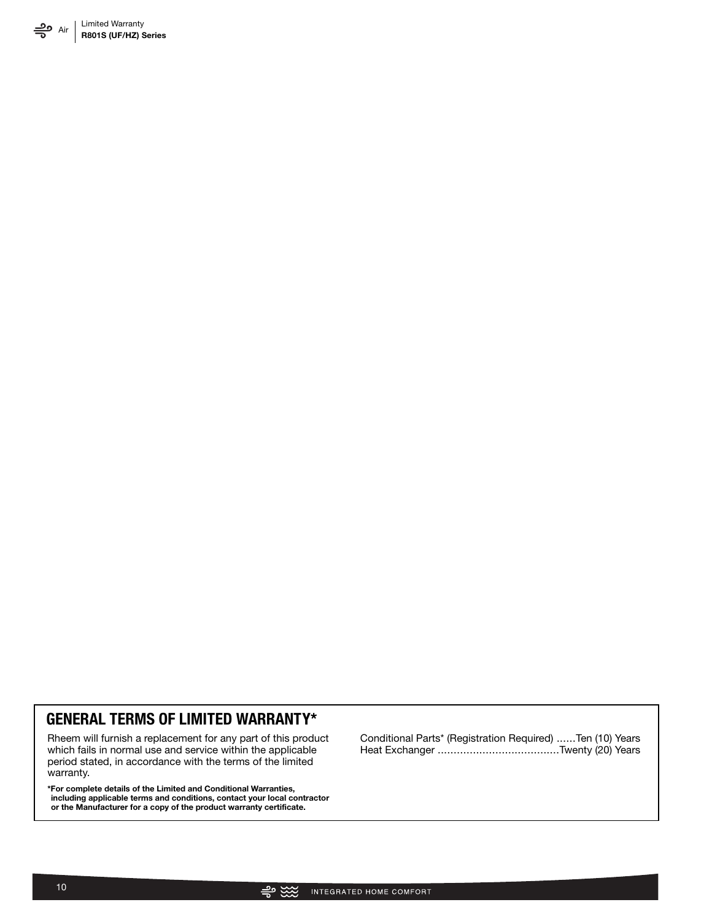## **GENERAL TERMS OF LIMITED WARRANTY\***

Rheem will furnish a replacement for any part of this product which fails in normal use and service within the applicable period stated, in accordance with the terms of the limited warranty.

**\*For complete details of the Limited and Conditional Warranties, including applicable terms and conditions, contact your local contractor or the Manufacturer for a copy of the product warranty certificate.**

Conditional Parts\* (Registration Required) ......Ten (10) Years Heat Exchanger ......................................Twenty (20) Years

 $\frac{q}{r}$  Air  $\frac{Limited \,Warranty}{BR0.15 \, (LFA) \, S}$ 

**R801S (UF/HZ) Series**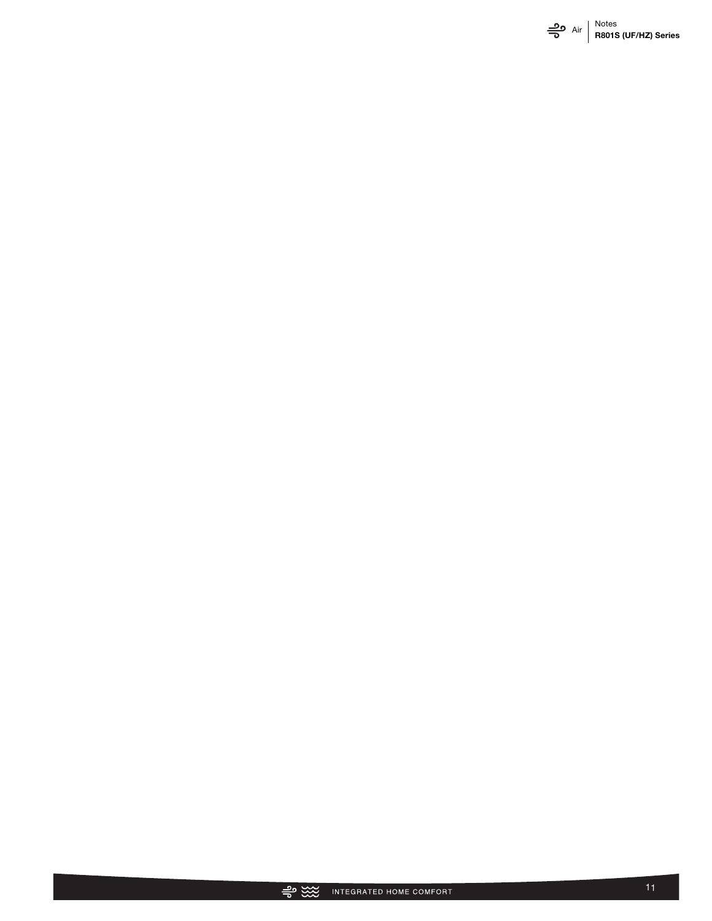